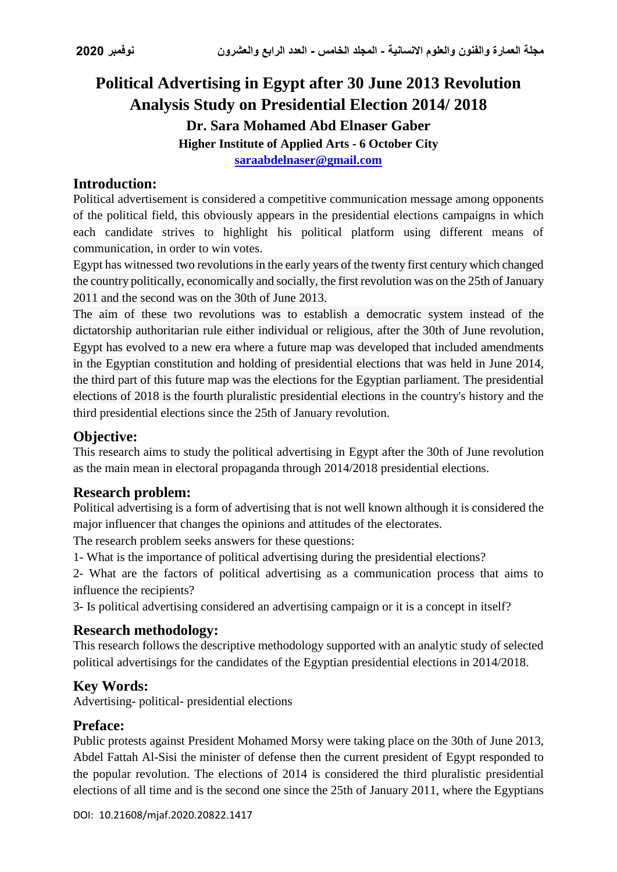# **Political Advertising in Egypt after 30 June 2013 Revolution Analysis Study on Presidential Election 2014/ 2018 Dr. Sara Mohamed Abd Elnaser Gaber Higher Institute of Applied Arts - 6 October City [saraabdelnaser@gmail.com](mailto:saraabdelnaser@gmail.com)**

# **Introduction:**

Political advertisement is considered a competitive communication message among opponents of the political field, this obviously appears in the presidential elections campaigns in which each candidate strives to highlight his political platform using different means of communication, in order to win votes.

Egypt has witnessed two revolutions in the early years of the twenty first century which changed the country politically, economically and socially, the first revolution was on the 25th of January 2011 and the second was on the 30th of June 2013.

The aim of these two revolutions was to establish a democratic system instead of the dictatorship authoritarian rule either individual or religious, after the 30th of June revolution, Egypt has evolved to a new era where a future map was developed that included amendments in the Egyptian constitution and holding of presidential elections that was held in June 2014, the third part of this future map was the elections for the Egyptian parliament. The presidential elections of 2018 is the fourth pluralistic presidential elections in the country's history and the third presidential elections since the 25th of January revolution.

# **Objective:**

This research aims to study the political advertising in Egypt after the 30th of June revolution as the main mean in electoral propaganda through 2014/2018 presidential elections.

### **Research problem:**

Political advertising is a form of advertising that is not well known although it is considered the major influencer that changes the opinions and attitudes of the electorates.

The research problem seeks answers for these questions:

1- What is the importance of political advertising during the presidential elections?

2- What are the factors of political advertising as a communication process that aims to influence the recipients?

3- Is political advertising considered an advertising campaign or it is a concept in itself?

# **Research methodology:**

This research follows the descriptive methodology supported with an analytic study of selected political advertisings for the candidates of the Egyptian presidential elections in 2014/2018.

# **Key Words:**

Advertising- political- presidential elections

### **Preface:**

Public protests against President Mohamed Morsy were taking place on the 30th of June 2013, Abdel Fattah Al-Sisi the minister of defense then the current president of Egypt responded to the popular revolution. The elections of 2014 is considered the third pluralistic presidential elections of all time and is the second one since the 25th of January 2011, where the Egyptians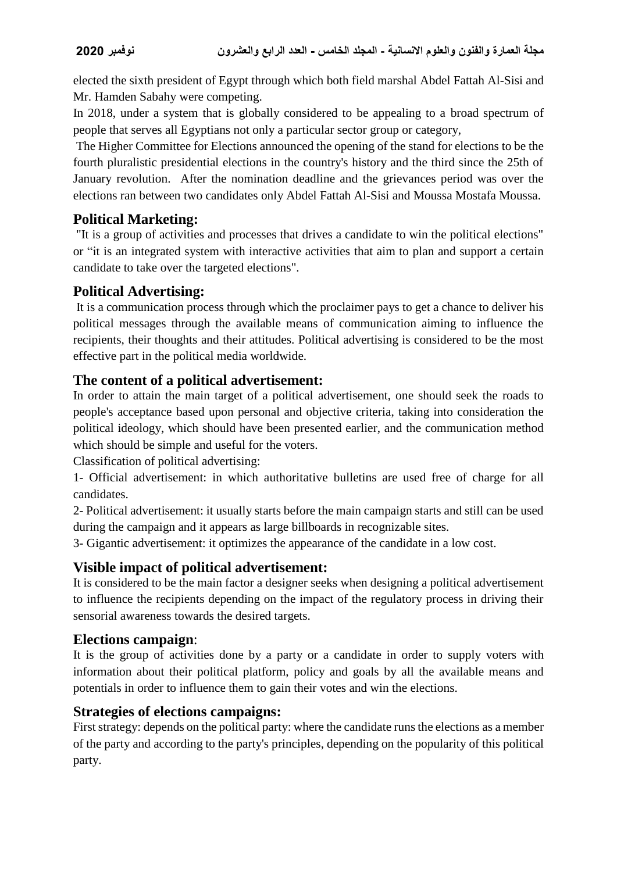elected the sixth president of Egypt through which both field marshal Abdel Fattah Al-Sisi and Mr. Hamden Sabahy were competing.

In 2018, under a system that is globally considered to be appealing to a broad spectrum of people that serves all Egyptians not only a particular sector group or category,

The [Higher Committee for Elections](https://context.reverso.net/%D8%A7%D9%84%D8%AA%D8%B1%D8%AC%D9%85%D8%A9/%D8%A7%D9%84%D8%A5%D9%86%D8%AC%D9%84%D9%8A%D8%B2%D9%8A%D8%A9-%D8%A7%D9%84%D8%B9%D8%B1%D8%A8%D9%8A%D8%A9/Higher+Committee+for+Elections) announced the opening of the stand for elections to be the fourth pluralistic presidential elections in the country's history and the third since the 25th of January revolution. After the nomination deadline and the grievances period was over the elections ran between two candidates only Abdel Fattah Al-Sisi and Moussa Mostafa Moussa.

# **Political Marketing:**

"It is a group of activities and processes that drives a candidate to win the political elections" or "it is an integrated system with interactive activities that aim to plan and support a certain candidate to take over the targeted elections".

# **Political Advertising:**

It is a communication process through which the proclaimer pays to get a chance to deliver his political messages through the available means of communication aiming to influence the recipients, their thoughts and their attitudes. Political advertising is considered to be the most effective part in the political media worldwide.

# **The content of a political advertisement:**

In order to attain the main target of a political advertisement, one should seek the roads to people's acceptance based upon personal and objective criteria, taking into consideration the political ideology, which should have been presented earlier, and the communication method which should be simple and useful for the voters.

Classification of political advertising:

1- Official advertisement: in which authoritative bulletins are used free of charge for all candidates.

2- Political advertisement: it usually starts before the main campaign starts and still can be used during the campaign and it appears as large billboards in recognizable sites.

3- Gigantic advertisement: it optimizes the appearance of the candidate in a low cost.

# **Visible impact of political advertisement:**

It is considered to be the main factor a designer seeks when designing a political advertisement to influence the recipients depending on the impact of the regulatory process in driving their sensorial awareness towards the desired targets.

# **Elections campaign**:

It is the group of activities done by a party or a candidate in order to supply voters with information about their political platform, policy and goals by all the available means and potentials in order to influence them to gain their votes and win the elections.

# **Strategies of elections campaigns:**

First strategy: depends on the political party: where the candidate runs the elections as a member of the party and according to the party's principles, depending on the popularity of this political party.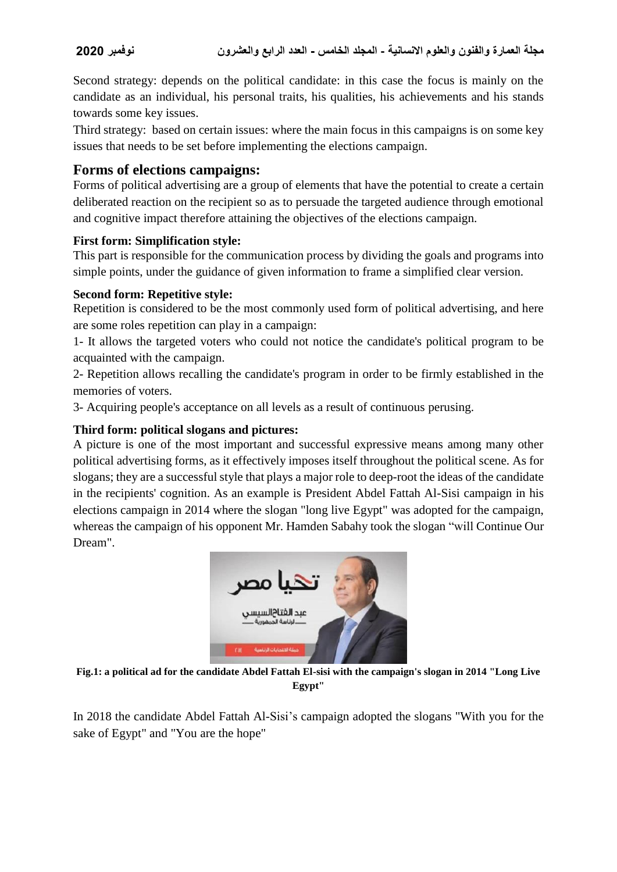Second strategy: depends on the political candidate: in this case the focus is mainly on the candidate as an individual, his personal traits, his qualities, his achievements and his stands towards some key issues.

Third strategy: based on certain issues: where the main focus in this campaigns is on some key issues that needs to be set before implementing the elections campaign.

### **Forms of elections campaigns:**

Forms of political advertising are a group of elements that have the potential to create a certain deliberated reaction on the recipient so as to persuade the targeted audience through emotional and cognitive impact therefore attaining the objectives of the elections campaign.

#### **First form: Simplification style:**

This part is responsible for the communication process by dividing the goals and programs into simple points, under the guidance of given information to frame a simplified clear version.

#### **Second form: Repetitive style:**

Repetition is considered to be the most commonly used form of political advertising, and here are some roles repetition can play in a campaign:

1- It allows the targeted voters who could not notice the candidate's political program to be acquainted with the campaign.

2- Repetition allows recalling the candidate's program in order to be firmly established in the memories of voters.

3- Acquiring people's acceptance on all levels as a result of continuous perusing.

#### **Third form: political slogans and pictures:**

A picture is one of the most important and successful expressive means among many other political advertising forms, as it effectively imposes itself throughout the political scene. As for slogans; they are a successful style that plays a major role to deep-root the ideas of the candidate in the recipients' cognition. As an example is President Abdel Fattah Al-Sisi campaign in his elections campaign in 2014 where the slogan "long live Egypt" was adopted for the campaign, whereas the campaign of his opponent Mr. Hamden Sabahy took the slogan "will Continue Our Dream".



**Fig.1: a political ad for the candidate Abdel Fattah El-sisi with the campaign's slogan in 2014 "Long Live Egypt"**

In 2018 the candidate Abdel Fattah Al-Sisi's campaign adopted the slogans "With you for the sake of Egypt" and "You are the hope"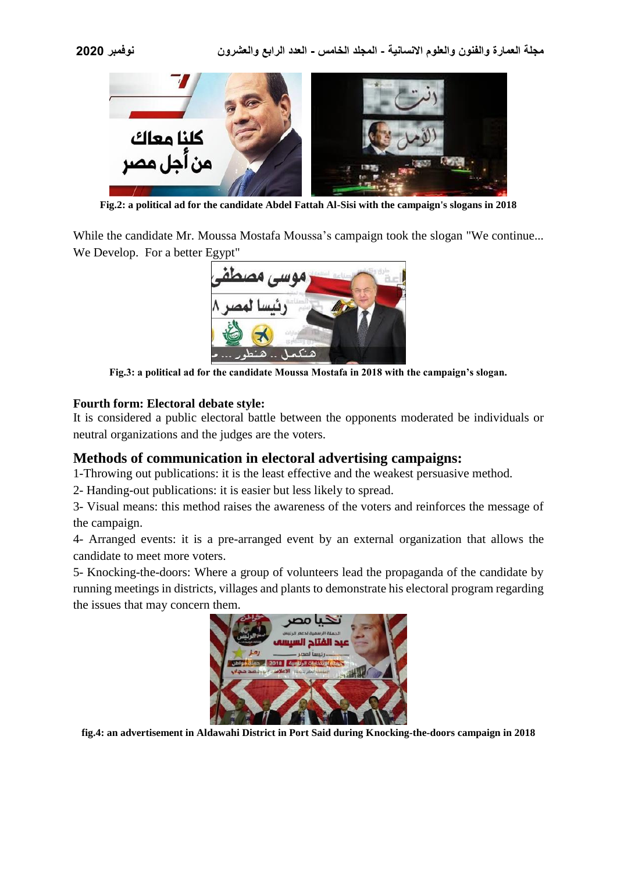



**Fig.2: a political ad for the candidate Abdel Fattah Al-Sisi with the campaign's slogans in 2018**

While the candidate Mr. Moussa Mostafa Moussa's campaign took the slogan "We continue... We Develop. For a better Egypt"



**Fig.3: a political ad for the candidate Moussa Mostafa in 2018 with the campaign's slogan.**

#### **Fourth form: Electoral debate style:**

It is considered a public electoral battle between the opponents moderated be individuals or neutral organizations and the judges are the voters.

#### **Methods of communication in electoral advertising campaigns:**

1-Throwing out publications: it is the least effective and the weakest persuasive method.

2- Handing-out publications: it is easier but less likely to spread.

3- Visual means: this method raises the awareness of the voters and reinforces the message of the campaign.

4- Arranged events: it is a pre-arranged event by an external organization that allows the candidate to meet more voters.

5- Knocking-the-doors: Where a group of volunteers lead the propaganda of the candidate by running meetings in districts, villages and plants to demonstrate his electoral program regarding the issues that may concern them.



**fig.4: an advertisement in Aldawahi District in Port Said during Knocking-the-doors campaign in 2018**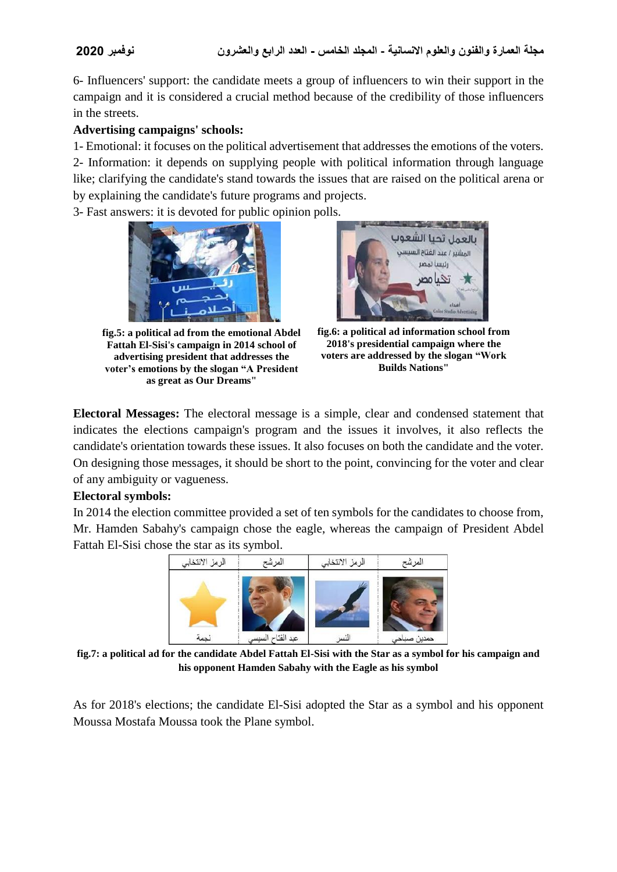6- Influencers' support: the candidate meets a group of influencers to win their support in the campaign and it is considered a crucial method because of the credibility of those influencers in the streets.

#### **Advertising campaigns' schools:**

1- Emotional: it focuses on the political advertisement that addresses the emotions of the voters. 2- Information: it depends on supplying people with political information through language like; clarifying the candidate's stand towards the issues that are raised on the political arena or by explaining the candidate's future programs and projects.

3- Fast answers: it is devoted for public opinion polls.



**fig.5: a political ad from the emotional Abdel Fattah El-Sisi's campaign in 2014 school of advertising president that addresses the voter's emotions by the slogan "A President as great as Our Dreams"**



**fig.6: a political ad information school from 2018's presidential campaign where the voters are addressed by the slogan "Work Builds Nations"**

**Electoral Messages:** The electoral message is a simple, clear and condensed statement that indicates the elections campaign's program and the issues it involves, it also reflects the candidate's orientation towards these issues. It also focuses on both the candidate and the voter. On designing those messages, it should be short to the point, convincing for the voter and clear of any ambiguity or vagueness.

#### **Electoral symbols:**

In 2014 the election committee provided a set of ten symbols for the candidates to choose from, Mr. Hamden Sabahy's campaign chose the eagle, whereas the campaign of President Abdel Fattah El-Sisi chose the star as its symbol.



**fig.7: a political ad for the candidate Abdel Fattah El-Sisi with the Star as a symbol for his campaign and his opponent Hamden Sabahy with the Eagle as his symbol**

As for 2018's elections; the candidate El-Sisi adopted the Star as a symbol and his opponent Moussa Mostafa Moussa took the Plane symbol.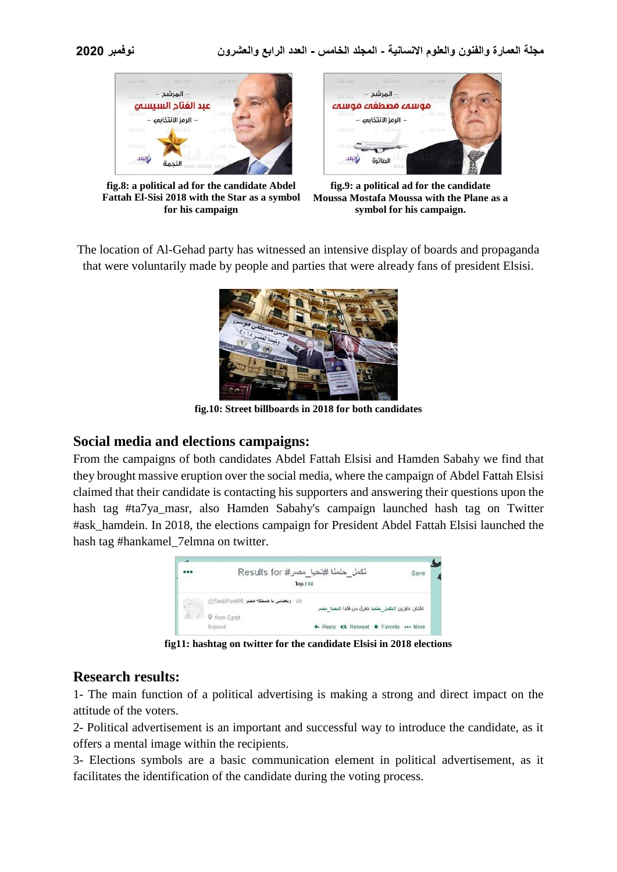

**fig.8: a political ad for the candidate Abdel Fattah El-Sisi 2018 with the Star as a symbol for his campaign**



**fig.9: a political ad for the candidate Moussa Mostafa Moussa with the Plane as a symbol for his campaign.**

The location of Al-Gehad party has witnessed an intensive display of boards and propaganda that were voluntarily made by people and parties that were already fans of president Elsisi.



**fig.10: Street billboards in 2018 for both candidates**

### **Social media and elections campaigns:**

From the campaigns of both candidates Abdel Fattah Elsisi and Hamden Sabahy we find that they brought massive eruption over the social media, where the campaign of Abdel Fattah Elsisi claimed that their candidate is contacting his supporters and answering their questions upon the hash tag #ta7ya\_masr, also Hamden Sabahy's campaign launched hash tag on Twitter #ask\_hamdein. In 2018, the elections campaign for President Abdel Fattah Elsisi launched the hash tag #hankamel\_7elmna on twitter.



**fig11: hashtag on twitter for the candidate Elsisi in 2018 elections**

### **Research results:**

1- The main function of a political advertising is making a strong and direct impact on the attitude of the voters.

2- Political advertisement is an important and successful way to introduce the candidate, as it offers a mental image within the recipients.

3- Elections symbols are a basic communication element in political advertisement, as it facilitates the identification of the candidate during the voting process.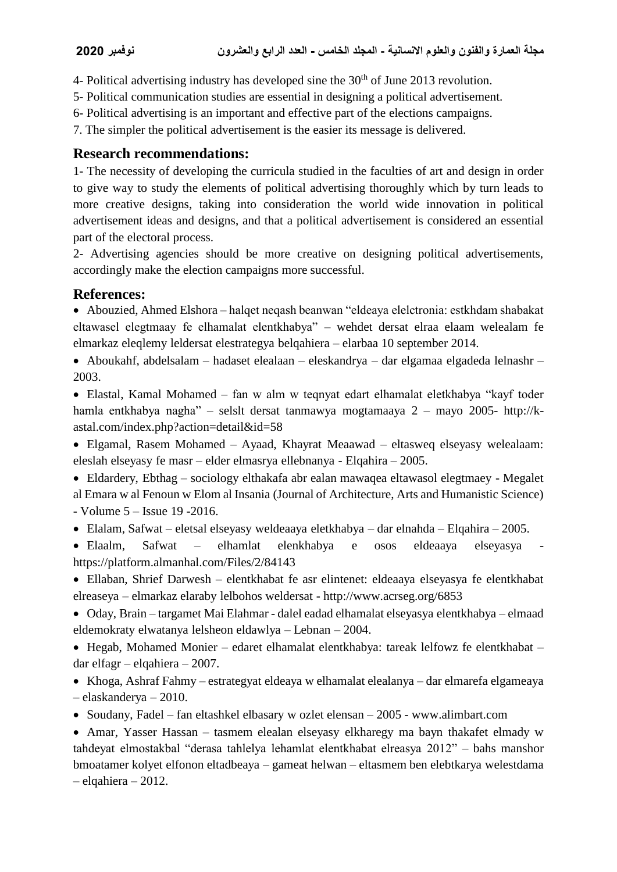4- Political advertising industry has developed sine the  $30<sup>th</sup>$  of June 2013 revolution.

- 5- Political communication studies are essential in designing a political advertisement.
- 6- Political advertising is an important and effective part of the elections campaigns.
- 7. The simpler the political advertisement is the easier its message is delivered.

# **Research recommendations:**

1- The necessity of developing the curricula studied in the faculties of art and design in order to give way to study the elements of political advertising thoroughly which by turn leads to more creative designs, taking into consideration the world wide innovation in political advertisement ideas and designs, and that a political advertisement is considered an essential part of the electoral process.

2- Advertising agencies should be more creative on designing political advertisements, accordingly make the election campaigns more successful.

# **References:**

 Abouzied, Ahmed Elshora – halqet neqash beanwan "eldeaya elelctronia: estkhdam shabakat eltawasel elegtmaay fe elhamalat elentkhabya" – wehdet dersat elraa elaam welealam fe elmarkaz eleqlemy leldersat elestrategya belqahiera – elarbaa 10 september 2014.

 Aboukahf, abdelsalam – hadaset elealaan – eleskandrya – dar elgamaa elgadeda lelnashr – 2003.

 Elastal, Kamal Mohamed – fan w alm w teqnyat edart elhamalat eletkhabya "kayf toder hamla entkhabya nagha" – selslt dersat tanmawya mogtamaaya 2 – mayo 2005- http://kastal.com/index.php?action=detail&id=58

 Elgamal, Rasem Mohamed – Ayaad, Khayrat Meaawad – eltasweq elseyasy welealaam: eleslah elseyasy fe masr – elder elmasrya ellebnanya - Elqahira – 2005.

• Eldardery, Ebthag – sociology elthakafa abr ealan mawaqea eltawasol elegtmaey - Megalet al Emara w al Fenoun w Elom al Insania (Journal of Architecture, Arts and Humanistic Science) - Volume 5 – Issue 19 -2016.

Elalam, Safwat – eletsal elseyasy weldeaaya eletkhabya – dar elnahda – Elqahira – 2005.

• Elaalm, Safwat – elhamlat elenkhabya e osos eldeaaya elseyasya https://platform.almanhal.com/Files/2/84143

 Ellaban, Shrief Darwesh – elentkhabat fe asr elintenet: eldeaaya elseyasya fe elentkhabat elreaseya – elmarkaz elaraby lelbohos weldersat - http://www.acrseg.org/6853

 Oday, Brain – targamet Mai Elahmar - dalel eadad elhamalat elseyasya elentkhabya – elmaad eldemokraty elwatanya lelsheon eldawlya – Lebnan – 2004.

 Hegab, Mohamed Monier – edaret elhamalat elentkhabya: tareak lelfowz fe elentkhabat – dar elfagr – elqahiera – 2007.

 Khoga, Ashraf Fahmy – estrategyat eldeaya w elhamalat elealanya – dar elmarefa elgameaya – elaskanderya – 2010.

Soudany, Fadel – fan eltashkel elbasary w ozlet elensan – 2005 - www.alimbart.com

 Amar, Yasser Hassan – tasmem elealan elseyasy elkharegy ma bayn thakafet elmady w tahdeyat elmostakbal "derasa tahlelya lehamlat elentkhabat elreasya 2012" – bahs manshor bmoatamer kolyet elfonon eltadbeaya – gameat helwan – eltasmem ben elebtkarya welestdama – elqahiera – 2012.